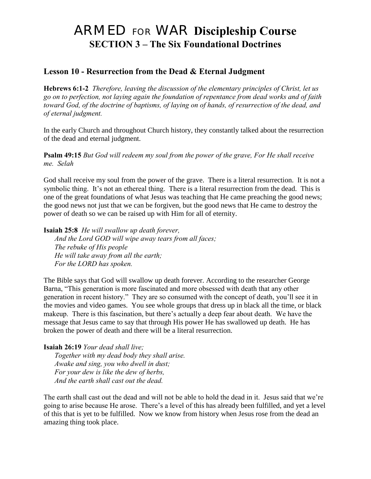# ARMED FOR WAR **Discipleship Course SECTION 3 – The Six Foundational Doctrines**

# **Lesson 10 - Resurrection from the Dead & Eternal Judgment**

**Hebrews 6:1-2** *Therefore, leaving the discussion of the elementary principles of Christ, let us go on to perfection, not laying again the foundation of repentance from dead works and of faith toward God, of the doctrine of baptisms, of laying on of hands, of resurrection of the dead, and of eternal judgment.*

In the early Church and throughout Church history, they constantly talked about the resurrection of the dead and eternal judgment.

**Psalm 49:15** *But God will redeem my soul from the power of the grave, For He shall receive me. Selah*

God shall receive my soul from the power of the grave. There is a literal resurrection. It is not a symbolic thing. It's not an ethereal thing. There is a literal resurrection from the dead. This is one of the great foundations of what Jesus was teaching that He came preaching the good news; the good news not just that we can be forgiven, but the good news that He came to destroy the power of death so we can be raised up with Him for all of eternity.

**Isaiah 25:8** *He will swallow up death forever,* 

 *And the Lord GOD will wipe away tears from all faces; The rebuke of His people He will take away from all the earth; For the LORD has spoken.*

The Bible says that God will swallow up death forever. According to the researcher George Barna, "This generation is more fascinated and more obsessed with death that any other generation in recent history." They are so consumed with the concept of death, you"ll see it in the movies and video games. You see whole groups that dress up in black all the time, or black makeup. There is this fascination, but there's actually a deep fear about death. We have the message that Jesus came to say that through His power He has swallowed up death. He has broken the power of death and there will be a literal resurrection.

#### **Isaiah 26:19** *Your dead shall live;*

 *Together with my dead body they shall arise. Awake and sing, you who dwell in dust; For your dew is like the dew of herbs, And the earth shall cast out the dead.*

The earth shall cast out the dead and will not be able to hold the dead in it. Jesus said that we"re going to arise because He arose. There"s a level of this has already been fulfilled, and yet a level of this that is yet to be fulfilled. Now we know from history when Jesus rose from the dead an amazing thing took place.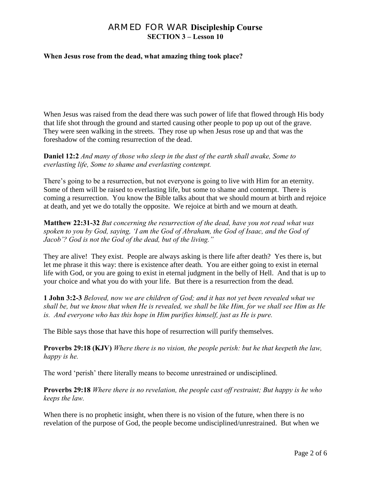### **When Jesus rose from the dead, what amazing thing took place?**

When Jesus was raised from the dead there was such power of life that flowed through His body that life shot through the ground and started causing other people to pop up out of the grave. They were seen walking in the streets. They rose up when Jesus rose up and that was the foreshadow of the coming resurrection of the dead.

**Daniel 12:2** *And many of those who sleep in the dust of the earth shall awake, Some to everlasting life, Some to shame and everlasting contempt.*

There's going to be a resurrection, but not everyone is going to live with Him for an eternity. Some of them will be raised to everlasting life, but some to shame and contempt. There is coming a resurrection. You know the Bible talks about that we should mourn at birth and rejoice at death, and yet we do totally the opposite. We rejoice at birth and we mourn at death.

**Matthew 22:31-32** *But concerning the resurrection of the dead, have you not read what was spoken to you by God, saying, "I am the God of Abraham, the God of Isaac, and the God of Jacob"? God is not the God of the dead, but of the living."*

They are alive! They exist. People are always asking is there life after death? Yes there is, but let me phrase it this way: there is existence after death. You are either going to exist in eternal life with God, or you are going to exist in eternal judgment in the belly of Hell. And that is up to your choice and what you do with your life. But there is a resurrection from the dead.

**1 John 3:2-3** *Beloved, now we are children of God; and it has not yet been revealed what we shall be, but we know that when He is revealed, we shall be like Him, for we shall see Him as He is. And everyone who has this hope in Him purifies himself, just as He is pure.*

The Bible says those that have this hope of resurrection will purify themselves.

**Proverbs 29:18 (KJV)** *Where there is no vision, the people perish: but he that keepeth the law, happy is he.*

The word "perish" there literally means to become unrestrained or undisciplined.

**Proverbs 29:18** *Where there is no revelation, the people cast off restraint; But happy is he who keeps the law.*

When there is no prophetic insight, when there is no vision of the future, when there is no revelation of the purpose of God, the people become undisciplined/unrestrained. But when we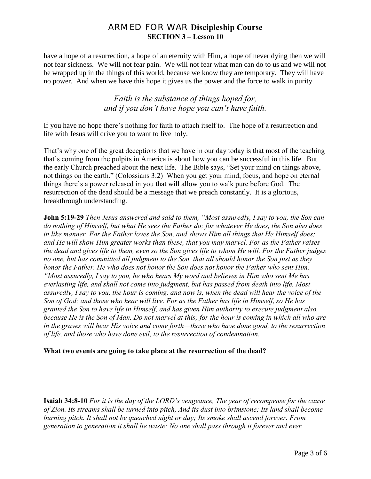have a hope of a resurrection, a hope of an eternity with Him, a hope of never dying then we will not fear sickness. We will not fear pain. We will not fear what man can do to us and we will not be wrapped up in the things of this world, because we know they are temporary. They will have no power. And when we have this hope it gives us the power and the force to walk in purity.

> *Faith is the substance of things hoped for, and if you don"t have hope you can"t have faith.*

If you have no hope there"s nothing for faith to attach itself to. The hope of a resurrection and life with Jesus will drive you to want to live holy.

That's why one of the great deceptions that we have in our day today is that most of the teaching that"s coming from the pulpits in America is about how you can be successful in this life. But the early Church preached about the next life. The Bible says, "Set your mind on things above, not things on the earth." (Colossians 3:2) When you get your mind, focus, and hope on eternal things there"s a power released in you that will allow you to walk pure before God. The resurrection of the dead should be a message that we preach constantly. It is a glorious, breakthrough understanding.

**John 5:19-29** *Then Jesus answered and said to them, "Most assuredly, I say to you, the Son can do nothing of Himself, but what He sees the Father do; for whatever He does, the Son also does in like manner. For the Father loves the Son, and shows Him all things that He Himself does; and He will show Him greater works than these, that you may marvel. For as the Father raises the dead and gives life to them, even so the Son gives life to whom He will. For the Father judges no one, but has committed all judgment to the Son, that all should honor the Son just as they honor the Father. He who does not honor the Son does not honor the Father who sent Him. "Most assuredly, I say to you, he who hears My word and believes in Him who sent Me has everlasting life, and shall not come into judgment, but has passed from death into life. Most assuredly, I say to you, the hour is coming, and now is, when the dead will hear the voice of the Son of God; and those who hear will live. For as the Father has life in Himself, so He has granted the Son to have life in Himself, and has given Him authority to execute judgment also, because He is the Son of Man. Do not marvel at this; for the hour is coming in which all who are in the graves will hear His voice and come forth—those who have done good, to the resurrection of life, and those who have done evil, to the resurrection of condemnation.*

## **What two events are going to take place at the resurrection of the dead?**

**Isaiah 34:8-10** *For it is the day of the LORD"s vengeance, The year of recompense for the cause of Zion. Its streams shall be turned into pitch, And its dust into brimstone; Its land shall become burning pitch. It shall not be quenched night or day; Its smoke shall ascend forever. From generation to generation it shall lie waste; No one shall pass through it forever and ever.*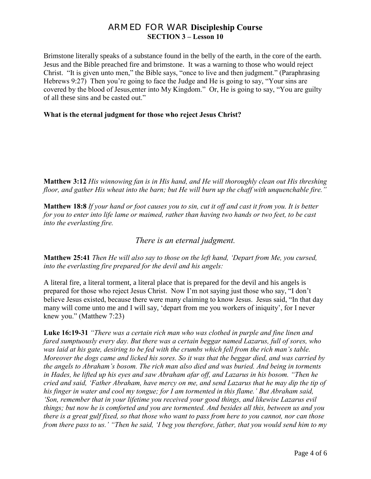Brimstone literally speaks of a substance found in the belly of the earth, in the core of the earth. Jesus and the Bible preached fire and brimstone. It was a warning to those who would reject Christ. "It is given unto men," the Bible says, "once to live and then judgment." (Paraphrasing Hebrews 9:27) Then you're going to face the Judge and He is going to say, "Your sins are covered by the blood of Jesus,enter into My Kingdom." Or, He is going to say, "You are guilty of all these sins and be casted out."

#### **What is the eternal judgment for those who reject Jesus Christ?**

**Matthew 3:12** *His winnowing fan is in His hand, and He will thoroughly clean out His threshing floor, and gather His wheat into the barn; but He will burn up the chaff with unquenchable fire."*

**Matthew 18:8** *If your hand or foot causes you to sin, cut it off and cast it from you. It is better for you to enter into life lame or maimed, rather than having two hands or two feet, to be cast into the everlasting fire.*

## *There is an eternal judgment.*

**Matthew 25:41** *Then He will also say to those on the left hand, "Depart from Me, you cursed, into the everlasting fire prepared for the devil and his angels:*

A literal fire, a literal torment, a literal place that is prepared for the devil and his angels is prepared for those who reject Jesus Christ. Now I"m not saying just those who say, "I don"t believe Jesus existed, because there were many claiming to know Jesus. Jesus said, "In that day many will come unto me and I will say, "depart from me you workers of iniquity", for I never knew you." (Matthew 7:23)

**Luke 16:19-31** *"There was a certain rich man who was clothed in purple and fine linen and fared sumptuously every day. But there was a certain beggar named Lazarus, full of sores, who was laid at his gate, desiring to be fed with the crumbs which fell from the rich man"s table. Moreover the dogs came and licked his sores. So it was that the beggar died, and was carried by the angels to Abraham"s bosom. The rich man also died and was buried. And being in torments in Hades, he lifted up his eyes and saw Abraham afar off, and Lazarus in his bosom. "Then he cried and said, "Father Abraham, have mercy on me, and send Lazarus that he may dip the tip of his finger in water and cool my tongue; for I am tormented in this flame." But Abraham said, "Son, remember that in your lifetime you received your good things, and likewise Lazarus evil things; but now he is comforted and you are tormented. And besides all this, between us and you there is a great gulf fixed, so that those who want to pass from here to you cannot, nor can those from there pass to us." "Then he said, "I beg you therefore, father, that you would send him to my*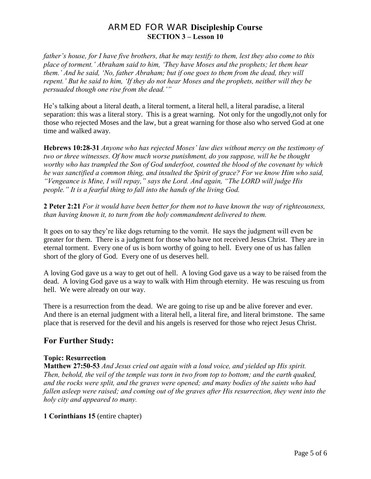*father"s house, for I have five brothers, that he may testify to them, lest they also come to this place of torment." Abraham said to him, "They have Moses and the prophets; let them hear them." And he said, "No, father Abraham; but if one goes to them from the dead, they will repent." But he said to him, "If they do not hear Moses and the prophets, neither will they be persuaded though one rise from the dead.""*

He"s talking about a literal death, a literal torment, a literal hell, a literal paradise, a literal separation: this was a literal story. This is a great warning. Not only for the ungodly,not only for those who rejected Moses and the law, but a great warning for those also who served God at one time and walked away.

**Hebrews 10:28-31** *Anyone who has rejected Moses" law dies without mercy on the testimony of two or three witnesses. Of how much worse punishment, do you suppose, will he be thought worthy who has trampled the Son of God underfoot, counted the blood of the covenant by which he was sanctified a common thing, and insulted the Spirit of grace? For we know Him who said, "Vengeance is Mine, I will repay," says the Lord. And again, "The LORD will judge His people." It is a fearful thing to fall into the hands of the living God.*

**2 Peter 2:21** *For it would have been better for them not to have known the way of righteousness, than having known it, to turn from the holy commandment delivered to them.*

It goes on to say they"re like dogs returning to the vomit. He says the judgment will even be greater for them. There is a judgment for those who have not received Jesus Christ. They are in eternal torment. Every one of us is born worthy of going to hell. Every one of us has fallen short of the glory of God. Every one of us deserves hell.

A loving God gave us a way to get out of hell. A loving God gave us a way to be raised from the dead. A loving God gave us a way to walk with Him through eternity. He was rescuing us from hell. We were already on our way.

There is a resurrection from the dead. We are going to rise up and be alive forever and ever. And there is an eternal judgment with a literal hell, a literal fire, and literal brimstone. The same place that is reserved for the devil and his angels is reserved for those who reject Jesus Christ.

# **For Further Study:**

## **Topic: Resurrection**

**Matthew 27:50-53** *And Jesus cried out again with a loud voice, and yielded up His spirit. Then, behold, the veil of the temple was torn in two from top to bottom; and the earth quaked, and the rocks were split, and the graves were opened; and many bodies of the saints who had fallen asleep were raised; and coming out of the graves after His resurrection, they went into the holy city and appeared to many.*

**1 Corinthians 15** (entire chapter)